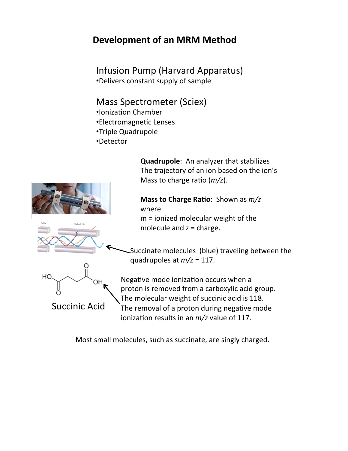## **Development of an MRM Method**

Infusion Pump (Harvard Apparatus) •Delivers constant supply of sample

#### Mass Spectrometer (Sciex)

- •Ionization Chamber
- •Electromagnetic Lenses
- •Triple Quadrupole
- •Detector

**Quadrupole:** An analyzer that stabilizes The trajectory of an ion based on the ion's Mass to charge ratio (*m/z*).

#### **Mass to Charge Ratio**: Shown as  $m/z$ where

 $m =$  ionized molecular weight of the molecule and  $z =$  charge.

Succinate molecules (blue) traveling between the quadrupoles at  $m/z = 117$ .

Negative mode ionization occurs when a proton is removed from a carboxylic acid group. The molecular weight of succinic acid is 118. The removal of a proton during negative mode ionization results in an  $m/z$  value of 117.

Most small molecules, such as succinate, are singly charged.

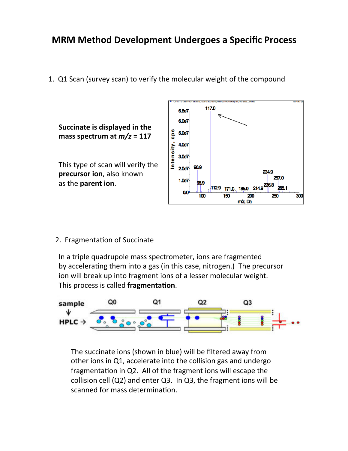### **MRM Method Development Undergoes a Specific Process**

1. Q1 Scan (survey scan) to verify the molecular weight of the compound



2. Fragmentation of Succinate

In a triple quadrupole mass spectrometer, ions are fragmented by accelerating them into a gas (in this case, nitrogen.) The precursor ion will break up into fragment ions of a lesser molecular weight. This process is called **fragmentation**.



The succinate ions (shown in blue) will be filtered away from other ions in Q1, accelerate into the collision gas and undergo fragmentation in Q2. All of the fragment ions will escape the collision cell  $(Q2)$  and enter  $Q3$ . In  $Q3$ , the fragment ions will be scanned for mass determination.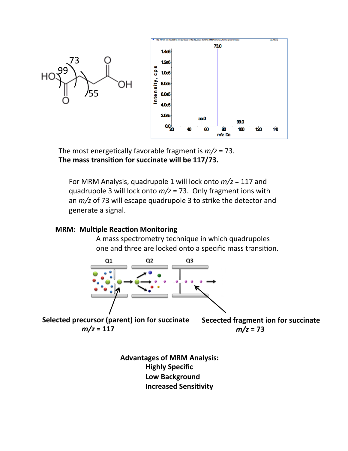

The most energetically favorable fragment is  $m/z = 73$ . The mass transition for succinate will be 117/73.

For MRM Analysis, quadrupole 1 will lock onto  $m/z = 117$  and quadrupole 3 will lock onto  $m/z = 73$ . Only fragment ions with an  $m/z$  of 73 will escape quadrupole 3 to strike the detector and generate a signal.

#### **MRM: Multiple Reaction Monitoring**

A mass spectrometry technique in which quadrupoles one and three are locked onto a specific mass transition.



**Selected precursor (parent) ion for succinate**  $m/z = 117$ 

**Secected fragment ion for succinate**  $m/z = 73$ 

**Advantages of MRM Analysis: Highly Specific Low Background Increased Sensitivity**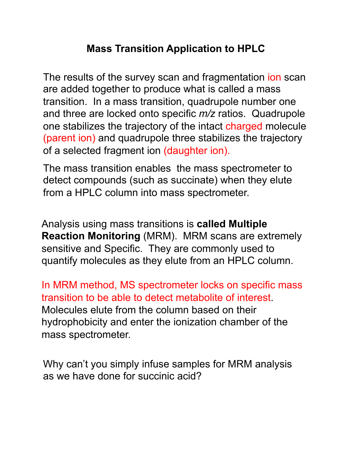# **Mass Transition Application to HPLC**

The results of the survey scan and fragmentation ion scan are added together to produce what is called a mass transition. In a mass transition, quadrupole number one and three are locked onto specific *m/z* ratios. Quadrupole one stabilizes the trajectory of the intact charged molecule (parent ion) and quadrupole three stabilizes the trajectory of a selected fragment ion (daughter ion).

The mass transition enables the mass spectrometer to detect compounds (such as succinate) when they elute from a HPLC column into mass spectrometer.

Analysis using mass transitions is **called Multiple Reaction Monitoring** (MRM). MRM scans are extremely sensitive and Specific. They are commonly used to quantify molecules as they elute from an HPLC column.

In MRM method, MS spectrometer locks on specific mass transition to be able to detect metabolite of interest. Molecules elute from the column based on their hydrophobicity and enter the ionization chamber of the mass spectrometer.

Why can't you simply infuse samples for MRM analysis as we have done for succinic acid?